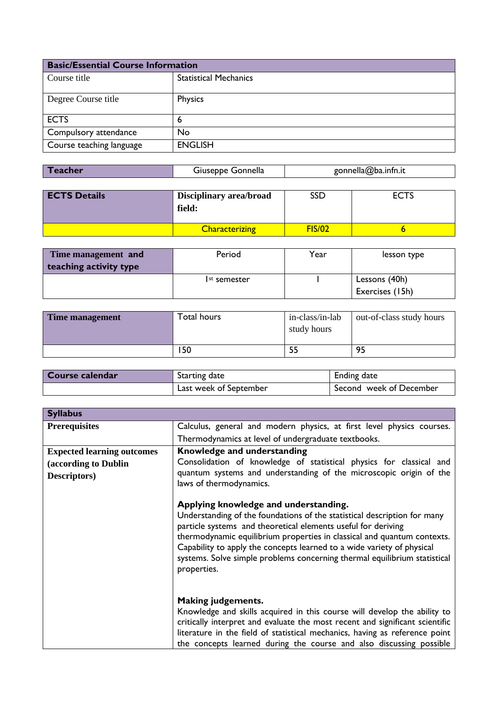| <b>Basic/Essential Course Information</b> |                              |
|-------------------------------------------|------------------------------|
| Course title                              | <b>Statistical Mechanics</b> |
| Degree Course title                       | Physics                      |
| <b>ECTS</b>                               | 6                            |
| Compulsory attendance                     | <b>No</b>                    |
| Course teaching language                  | <b>ENGLISH</b>               |

| Teacher | Giuseppe Gonnella | gonnella@ba.infn.it |
|---------|-------------------|---------------------|
|         |                   |                     |

| <b>ECTS Details</b> | Disciplinary area/broad<br>field: | SSD           | <b>ECTS</b> |
|---------------------|-----------------------------------|---------------|-------------|
|                     | <b>Characterizing</b>             | <b>FIS/02</b> |             |

| Time management and    | Period                   | Year | lesson type     |
|------------------------|--------------------------|------|-----------------|
| teaching activity type |                          |      |                 |
|                        | I <sup>st</sup> semester |      | Lessons (40h)   |
|                        |                          |      | Exercises (15h) |

| Time management | Total hours | in-class/in-lab<br>study hours | out-of-class study hours |
|-----------------|-------------|--------------------------------|--------------------------|
|                 | ∣50         |                                | 95                       |

| Course calendar | Starting date          | Ending date             |
|-----------------|------------------------|-------------------------|
|                 | Last week of September | Second week of December |

| <b>Syllabus</b>                   |                                                                                                                                                                                                                                                                                                                                                                                                                                     |
|-----------------------------------|-------------------------------------------------------------------------------------------------------------------------------------------------------------------------------------------------------------------------------------------------------------------------------------------------------------------------------------------------------------------------------------------------------------------------------------|
| <b>Prerequisites</b>              | Calculus, general and modern physics, at first level physics courses.                                                                                                                                                                                                                                                                                                                                                               |
|                                   | Thermodynamics at level of undergraduate textbooks.                                                                                                                                                                                                                                                                                                                                                                                 |
| <b>Expected learning outcomes</b> | Knowledge and understanding                                                                                                                                                                                                                                                                                                                                                                                                         |
| (according to Dublin              | Consolidation of knowledge of statistical physics for classical and                                                                                                                                                                                                                                                                                                                                                                 |
| Descriptors)                      | quantum systems and understanding of the microscopic origin of the<br>laws of thermodynamics.                                                                                                                                                                                                                                                                                                                                       |
|                                   | Applying knowledge and understanding.<br>Understanding of the foundations of the statistical description for many<br>particle systems and theoretical elements useful for deriving<br>thermodynamic equilibrium properties in classical and quantum contexts.<br>Capability to apply the concepts learned to a wide variety of physical<br>systems. Solve simple problems concerning thermal equilibrium statistical<br>properties. |
|                                   | <b>Making judgements.</b><br>Knowledge and skills acquired in this course will develop the ability to<br>critically interpret and evaluate the most recent and significant scientific<br>literature in the field of statistical mechanics, having as reference point<br>the concepts learned during the course and also discussing possible                                                                                         |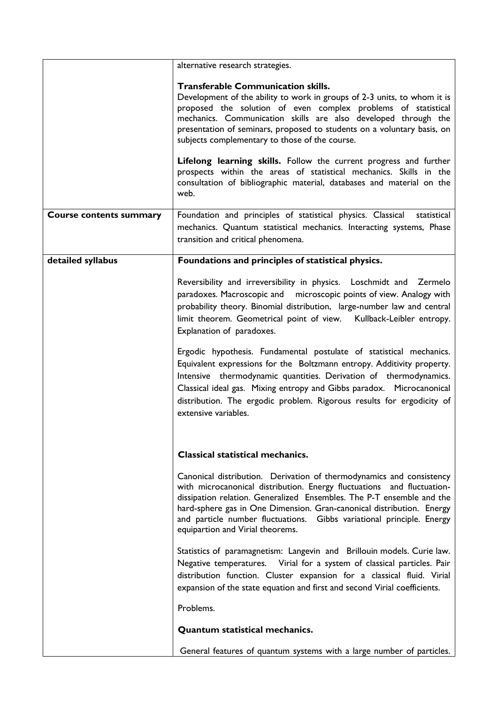|                                | alternative research strategies.                                                                                                                                                                                                                                                                                                                                                                                                                                                                                                                                                                                  |
|--------------------------------|-------------------------------------------------------------------------------------------------------------------------------------------------------------------------------------------------------------------------------------------------------------------------------------------------------------------------------------------------------------------------------------------------------------------------------------------------------------------------------------------------------------------------------------------------------------------------------------------------------------------|
|                                | <b>Transferable Communication skills.</b><br>Development of the ability to work in groups of 2-3 units, to whom it is<br>proposed the solution of even complex problems of statistical<br>mechanics. Communication skills are also developed through the<br>presentation of seminars, proposed to students on a voluntary basis, on<br>subjects complementary to those of the course.<br>Lifelong learning skills. Follow the current progress and further<br>prospects within the areas of statistical mechanics. Skills in the<br>consultation of bibliographic material, databases and material on the<br>web. |
| <b>Course contents summary</b> | Foundation and principles of statistical physics. Classical<br>statistical<br>mechanics. Quantum statistical mechanics. Interacting systems, Phase<br>transition and critical phenomena.                                                                                                                                                                                                                                                                                                                                                                                                                          |
| detailed syllabus              | Foundations and principles of statistical physics.                                                                                                                                                                                                                                                                                                                                                                                                                                                                                                                                                                |
|                                | Reversibility and irreversibility in physics. Loschmidt and Zermelo<br>paradoxes. Macroscopic and microscopic points of view. Analogy with<br>probability theory. Binomial distribution, large-number law and central<br>limit theorem. Geometrical point of view. Kullback-Leibler entropy.<br>Explanation of paradoxes.                                                                                                                                                                                                                                                                                         |
|                                | Ergodic hypothesis. Fundamental postulate of statistical mechanics.<br>Equivalent expressions for the Boltzmann entropy. Additivity property.<br>Intensive thermodynamic quantities. Derivation of thermodynamics.<br>Classical ideal gas. Mixing entropy and Gibbs paradox. Microcanonical<br>distribution. The ergodic problem. Rigorous results for ergodicity of<br>extensive variables.                                                                                                                                                                                                                      |
|                                | <b>Classical statistical mechanics.</b>                                                                                                                                                                                                                                                                                                                                                                                                                                                                                                                                                                           |
|                                | Canonical distribution. Derivation of thermodynamics and consistency<br>with microcanonical distribution. Energy fluctuations and fluctuation-<br>dissipation relation. Generalized Ensembles. The P-T ensemble and the<br>hard-sphere gas in One Dimension. Gran-canonical distribution. Energy<br>and particle number fluctuations. Gibbs variational principle. Energy<br>equipartion and Virial theorems.                                                                                                                                                                                                     |
|                                | Statistics of paramagnetism: Langevin and Brillouin models. Curie law.<br>Negative temperatures. Virial for a system of classical particles. Pair<br>distribution function. Cluster expansion for a classical fluid. Virial<br>expansion of the state equation and first and second Virial coefficients.                                                                                                                                                                                                                                                                                                          |
|                                | Problems.                                                                                                                                                                                                                                                                                                                                                                                                                                                                                                                                                                                                         |
|                                | <b>Quantum statistical mechanics.</b>                                                                                                                                                                                                                                                                                                                                                                                                                                                                                                                                                                             |
|                                | General features of quantum systems with a large number of particles.                                                                                                                                                                                                                                                                                                                                                                                                                                                                                                                                             |